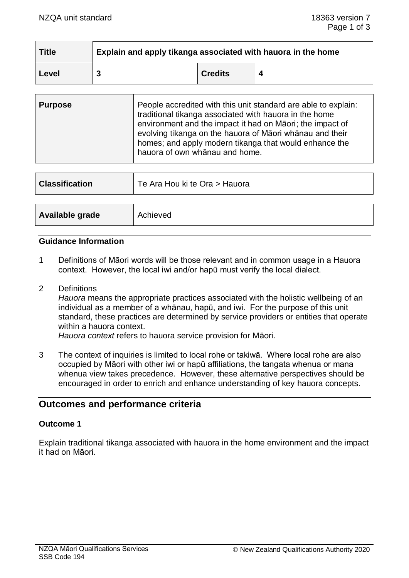| <b>Title</b> | Explain and apply tikanga associated with hauora in the home |                |  |  |  |
|--------------|--------------------------------------------------------------|----------------|--|--|--|
| Level        |                                                              | <b>Credits</b> |  |  |  |

| People accredited with this unit standard are able to explain:<br><b>Purpose</b><br>traditional tikanga associated with hauora in the home<br>environment and the impact it had on Māori; the impact of<br>evolving tikanga on the hauora of Māori whānau and their<br>homes; and apply modern tikanga that would enhance the<br>hauora of own whanau and home. |  |
|-----------------------------------------------------------------------------------------------------------------------------------------------------------------------------------------------------------------------------------------------------------------------------------------------------------------------------------------------------------------|--|
|-----------------------------------------------------------------------------------------------------------------------------------------------------------------------------------------------------------------------------------------------------------------------------------------------------------------------------------------------------------------|--|

| <b>Classification</b> | Te Ara Hou ki te Ora > Hauora |
|-----------------------|-------------------------------|
|                       |                               |
| Available grade       | Achieved                      |

#### **Guidance Information**

- 1 Definitions of Māori words will be those relevant and in common usage in a Hauora context. However, the local iwi and/or hapū must verify the local dialect.
- 2 Definitions

*Hauora* means the appropriate practices associated with the holistic wellbeing of an individual as a member of a whānau, hapū, and iwi. For the purpose of this unit standard, these practices are determined by service providers or entities that operate within a hauora context.

*Hauora context* refers to hauora service provision for Māori.

3 The context of inquiries is limited to local rohe or takiwā. Where local rohe are also occupied by Māori with other iwi or hapū affiliations, the tangata whenua or mana whenua view takes precedence. However, these alternative perspectives should be encouraged in order to enrich and enhance understanding of key hauora concepts.

# **Outcomes and performance criteria**

### **Outcome 1**

Explain traditional tikanga associated with hauora in the home environment and the impact it had on Māori.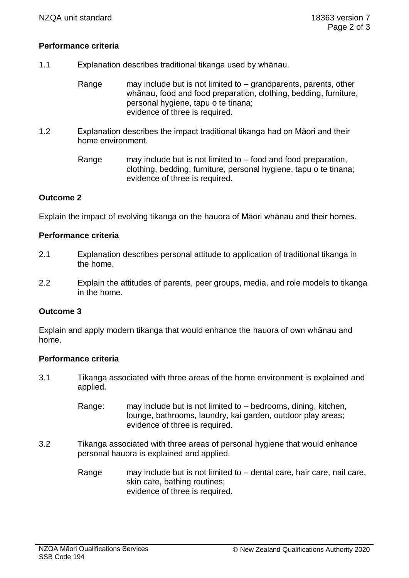### **Performance criteria**

- 1.1 Explanation describes traditional tikanga used by whānau.
	- Range may include but is not limited to  $-$  grandparents, parents, other whānau, food and food preparation, clothing, bedding, furniture, personal hygiene, tapu o te tinana; evidence of three is required.
- 1.2 Explanation describes the impact traditional tikanga had on Māori and their home environment.
	- Range may include but is not limited to  $-$  food and food preparation, clothing, bedding, furniture, personal hygiene, tapu o te tinana; evidence of three is required.

## **Outcome 2**

Explain the impact of evolving tikanga on the hauora of Māori whānau and their homes.

### **Performance criteria**

- 2.1 Explanation describes personal attitude to application of traditional tikanga in the home.
- 2.2 Explain the attitudes of parents, peer groups, media, and role models to tikanga in the home.

### **Outcome 3**

Explain and apply modern tikanga that would enhance the hauora of own whānau and home.

#### **Performance criteria**

- 3.1 Tikanga associated with three areas of the home environment is explained and applied.
	- Range: may include but is not limited to bedrooms, dining, kitchen, lounge, bathrooms, laundry, kai garden, outdoor play areas; evidence of three is required.
- 3.2 Tikanga associated with three areas of personal hygiene that would enhance personal hauora is explained and applied.
	- Range may include but is not limited to  $-$  dental care, hair care, nail care, skin care, bathing routines; evidence of three is required.